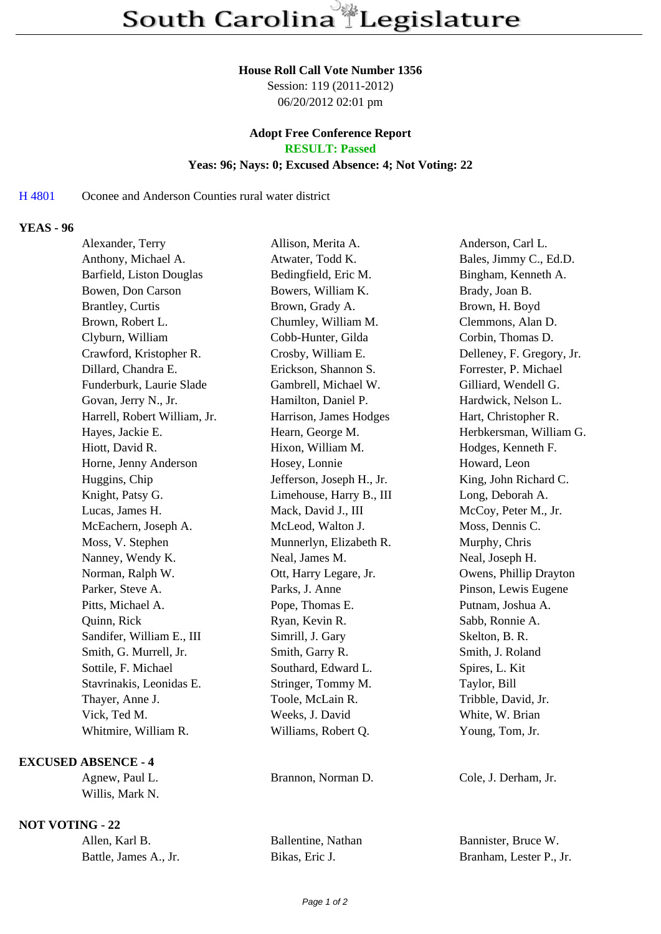#### **House Roll Call Vote Number 1356**

Session: 119 (2011-2012) 06/20/2012 02:01 pm

#### **Adopt Free Conference Report RESULT: Passed**

#### **Yeas: 96; Nays: 0; Excused Absence: 4; Not Voting: 22**

#### H 4801 Oconee and Anderson Counties rural water district

### **YEAS - 96**

| Alexander, Terry             | Allison, Merita A.        | Anderson, Carl L.         |
|------------------------------|---------------------------|---------------------------|
| Anthony, Michael A.          | Atwater, Todd K.          | Bales, Jimmy C., Ed.D.    |
| Barfield, Liston Douglas     | Bedingfield, Eric M.      | Bingham, Kenneth A.       |
| Bowen, Don Carson            | Bowers, William K.        | Brady, Joan B.            |
| <b>Brantley</b> , Curtis     | Brown, Grady A.           | Brown, H. Boyd            |
| Brown, Robert L.             | Chumley, William M.       | Clemmons, Alan D.         |
| Clyburn, William             | Cobb-Hunter, Gilda        | Corbin, Thomas D.         |
| Crawford, Kristopher R.      | Crosby, William E.        | Delleney, F. Gregory, Jr. |
| Dillard, Chandra E.          | Erickson, Shannon S.      | Forrester, P. Michael     |
| Funderburk, Laurie Slade     | Gambrell, Michael W.      | Gilliard, Wendell G.      |
| Govan, Jerry N., Jr.         | Hamilton, Daniel P.       | Hardwick, Nelson L.       |
| Harrell, Robert William, Jr. | Harrison, James Hodges    | Hart, Christopher R.      |
| Hayes, Jackie E.             | Hearn, George M.          | Herbkersman, William G.   |
| Hiott, David R.              | Hixon, William M.         | Hodges, Kenneth F.        |
| Horne, Jenny Anderson        | Hosey, Lonnie             | Howard, Leon              |
| Huggins, Chip                | Jefferson, Joseph H., Jr. | King, John Richard C.     |
| Knight, Patsy G.             | Limehouse, Harry B., III  | Long, Deborah A.          |
| Lucas, James H.              | Mack, David J., III       | McCoy, Peter M., Jr.      |
| McEachern, Joseph A.         | McLeod, Walton J.         | Moss, Dennis C.           |
| Moss, V. Stephen             | Munnerlyn, Elizabeth R.   | Murphy, Chris             |
| Nanney, Wendy K.             | Neal, James M.            | Neal, Joseph H.           |
| Norman, Ralph W.             | Ott, Harry Legare, Jr.    | Owens, Phillip Drayton    |
| Parker, Steve A.             | Parks, J. Anne            | Pinson, Lewis Eugene      |
| Pitts, Michael A.            | Pope, Thomas E.           | Putnam, Joshua A.         |
| Quinn, Rick                  | Ryan, Kevin R.            | Sabb, Ronnie A.           |
| Sandifer, William E., III    | Simrill, J. Gary          | Skelton, B. R.            |
| Smith, G. Murrell, Jr.       | Smith, Garry R.           | Smith, J. Roland          |
| Sottile, F. Michael          | Southard, Edward L.       | Spires, L. Kit            |
| Stavrinakis, Leonidas E.     | Stringer, Tommy M.        | Taylor, Bill              |
| Thayer, Anne J.              | Toole, McLain R.          | Tribble, David, Jr.       |
| Vick, Ted M.                 | Weeks, J. David           | White, W. Brian           |
| Whitmire, William R.         | Williams, Robert Q.       | Young, Tom, Jr.           |
|                              |                           |                           |

## **EXCUSED ABSENCE - 4**

Agnew, Paul L. Brannon, Norman D. Cole, J. Derham, Jr. Willis, Mark N.

# **NOT VOTING - 22**

| Allen, Karl B.        | Ballentine, Nathan |
|-----------------------|--------------------|
| Battle, James A., Jr. | Bikas, Eric J.     |

Bannister, Bruce W. Branham, Lester P., Jr.